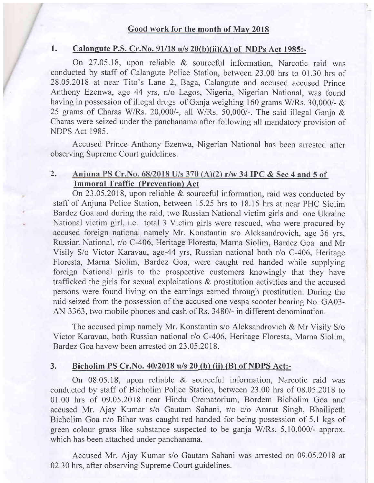1. Calangute P.S. Cr. No.  $91/18$  u/s  $20(b)(ii)(A)$  of NDPs Act 1985:-

On 27.45.18, upon reliable & sourceful information, Narcotic raid was conducted by staff of Calangute Police Station, between 23.00 hrs to 01.30 hrs of 28.05.2018 at near Tito's Lane 2, Baga, Calangute and accused accused Prince Anthony Ezenwa, age 44 yrs, n/o Lagos, Nigeria, Nigerian National, was found having in possession of illegal drugs of Ganja weighing 160 grams W/Rs. 30,000/- & 25 grams of Charas W/Rs. 20,000/-, all W/Rs. 50,000/-. The said illegal Ganja & Charas were seized under the panchanama after following all mandatory provision of NDPS Act 1985.

Accused Prince Anthony Ezenwa, Nigerian National has been arrested after observing Supreme Court guidelines.

#### 2. Anjuna PS Cr. No. 68/2018 U/s 370 (A)(2) r/w 34 IPC & Sec 4 and 5 of Immoral Traffic (Prevention) Act

On 23.05.2018, upon reliable & sourceful information, raid was conducted by staff of Anjuna Police Station, between 15.25 hrs to 18.15 hrs at near PHC Siolim Bardez Goa and during the raid, two Russian National victim girls and one Ukraine National victim girl, i.e. total 3 Victim girls were rescued, who were procured by accused foreign national namely Mr. Konstantin s/o Aleksandrovich, dge 36 yrs, Russian National, r/o C-406, Heritage Floresta, Marna Siolim, Bardez Goa and Mr Visily S/o Victor Karavau, age-44 yrs, Russian national both r/o C-406, Heritage Floresta, Marna Siolim, Bardez Goa, were caught red handed while supplying foreign National girls to the prospective customers knowingly that they have trafficked the girls for sexual exploitations  $\&$  prostitution activities and the accused persons were found living on the earnings earned through prostitution. During the raid seized from the possession of the accused one vespa scooter bearing No. GA03- AN-3363, two mobile phones and cash of Rs. 3480/- in different denomination.

The accused pimp namely Mr. Konstantin s/o Aleksandrovich & Mr Visily S/o Victor Karavau, both Russian national r/o C-406, Heritage Floresta, Marna Siolim, Bardez Goa havew been arrested on 23.05.2018.

#### 3. Bicholim PS Cr.No. 40/2018 u/s 20 (b) (ii) (B) of NDPS Act:-

On 08.05.18, upon reliable & sourceful information, Narcotic raid was conducted by staff of Bicholim Police Station, between 23.00 hrs of 08.05.2018 to 01.00 hrs of 09.05.2018 near Hindu Crematorium, Bordem Bicholim Goa and accused Mr. Ajay Kumar s/o Gautam Sahani, r/o c/o Amrut Singh, Bhailipeth Bicholim Goa n/o Bihar was caught red handed for being possession of 5.1 kgs of green colour grass like substance suspected to be ganja W/Rs. 5,10,000/- approx. which has been attached under panchanama.

Accused Mr. Ajay Kumar s/o Gautam Sahani was arrested on 09.05.2018 at 02.30 hrs, after observing Supreme Court guidelines.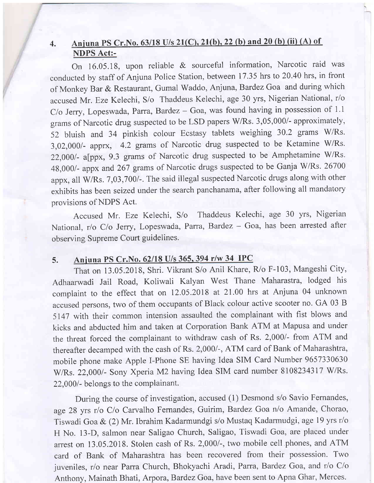# 4. Aniuna PS Cr.No. 63/18 U/s 21(C).21(b).22 (b) and 20 (b) (ii) (A) of NDPS Act:-

On 16.05.18, upon reliable & sourceful information, Narcotic raid was conducted by staff of Anjuna Police Station, between 17.35 hrs to 20.40 hrs, in front of Monkey Bar & Restaurant, Gumal Waddo, Anjuna, Bardez Goa and during which accused Mr. Eze Kelechi, S/o Thaddeus Kelechi, age 30 yrs, Nigerian National, r/o  $C$ /o Jerry, Lopeswada, Parra, Bardez - Goa, was found having in possession of 1.1 grams of Narcotic drug suspected to be LSD papers W/Rs. 3,05,000/- approximately, 52 bluish and 34 pinkish colour Ecstasy tablets weighing 30.2 grams W/Rs. 3,02,000/- apprx, 4.2 grams of Narcotic drug suspected to be Ketamine W/Rs. 22,000/- a[ppx, 9.3 grams of Narcotic drug suspected to be Amphetamine W/Rs. 48,000/- appx and 267 grams of Narcotic drugs suspected to be Ganja W/Rs. 26700 appx, all W/Rs. 7,03,700/-. The said illegal suspected Narcotic drugs along with other exhibits has been seized under the search panchanama, after following all mandatory provisions of NDPS Act.

Accused Mr. Eze Kelechi, S/o Thaddeus Kelechi, age 30 yrs, Nigerian National, r/o C/o Jerry, Lopeswada, Parra, Bardez - Goa, has been arrested after observing Supreme Court guidelines.

## 5. Anjuna PS Cr. No. 62/18 U/s 365, 394 r/w 34 IPC

That on 13 .05.2018, Shri. Vikrant S/o Anil Khare, R/o F-103, Mangeshi City, Adhaarwadi Jail Road, Koliwali Kalyan West Thane Maharastra, lodged his complaint to the effect that on 12.05.2018 at 21.00 hrs at Anjuna 04 unknown accused persons, two of them occupants of Black colour active scooter no. GA 03 B 5147 with their common intension assaulted the complainant with fist blows and kicks and abducted him and taken at Corporation Bank ATM at Mapusa and under the threat forced the complainant to withdraw cash of Rs. 2,000/- from ATM and thereafter decamped with the cash of Rs. 2,000/-, ATM card of Bank of Maharashtra, mobile phone make Apple I-Phone SE having Idea SIM Card Number 9657330630 W/Rs. 22,000/- Sony Xperia M2 having Idea SIM card number 8108234317 W/Rs. 22,000/- belongs to the complainant.

During the course of investigation, accused (1) Desmond s/o Savio Fernandes, age 28 yrs r/o C/o Carvalho Fernandes, Guirim, Bardez Goa n/o Amande, Chorao, Tiswadi Goa & (2) Mr. Ibrahim Kadarmundgi s/o Mustaq Kadarmudgi, age 19 yrs r/o H No. 13-D, salmon near Saligao Church, Saligao, Tiswadi Goa, are placed under arrest on 13.05.2018. Stolen cash of Rs.2,000/-, two mobile cell phones, and ATM card of Bank of Maharashtra has been recovered from their possession. Two juveniles, r/o near Parra Church, Bhokyachi Aradi, Parra, Bardez Goa, and r/o C/o Anthony, Mainath Bhati, Arpora, Bardez Goa, have been sent to Apna Ghar, Merces.